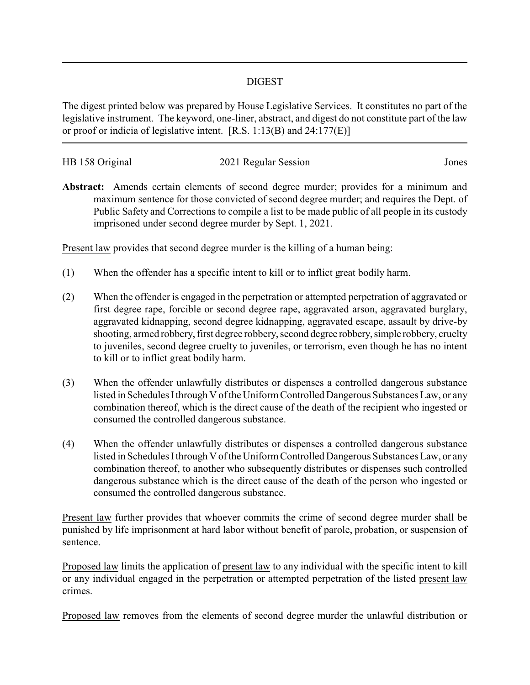## DIGEST

The digest printed below was prepared by House Legislative Services. It constitutes no part of the legislative instrument. The keyword, one-liner, abstract, and digest do not constitute part of the law or proof or indicia of legislative intent. [R.S. 1:13(B) and 24:177(E)]

| HB 158 Original | 2021 Regular Session | Jones |
|-----------------|----------------------|-------|
|                 |                      |       |

**Abstract:** Amends certain elements of second degree murder; provides for a minimum and maximum sentence for those convicted of second degree murder; and requires the Dept. of Public Safety and Corrections to compile a list to be made public of all people in its custody imprisoned under second degree murder by Sept. 1, 2021.

Present law provides that second degree murder is the killing of a human being:

- (1) When the offender has a specific intent to kill or to inflict great bodily harm.
- (2) When the offender is engaged in the perpetration or attempted perpetration of aggravated or first degree rape, forcible or second degree rape, aggravated arson, aggravated burglary, aggravated kidnapping, second degree kidnapping, aggravated escape, assault by drive-by shooting, armed robbery, first degree robbery, second degree robbery,simple robbery, cruelty to juveniles, second degree cruelty to juveniles, or terrorism, even though he has no intent to kill or to inflict great bodily harm.
- (3) When the offender unlawfully distributes or dispenses a controlled dangerous substance listed in Schedules Ithrough V of the Uniform Controlled Dangerous Substances Law, or any combination thereof, which is the direct cause of the death of the recipient who ingested or consumed the controlled dangerous substance.
- (4) When the offender unlawfully distributes or dispenses a controlled dangerous substance listed in Schedules Ithrough V of the Uniform Controlled Dangerous Substances Law, or any combination thereof, to another who subsequently distributes or dispenses such controlled dangerous substance which is the direct cause of the death of the person who ingested or consumed the controlled dangerous substance.

Present law further provides that whoever commits the crime of second degree murder shall be punished by life imprisonment at hard labor without benefit of parole, probation, or suspension of sentence.

Proposed law limits the application of present law to any individual with the specific intent to kill or any individual engaged in the perpetration or attempted perpetration of the listed present law crimes.

Proposed law removes from the elements of second degree murder the unlawful distribution or